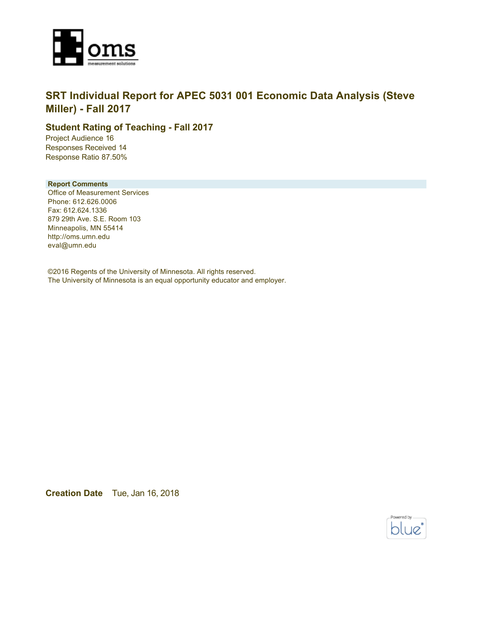

### **SRT Individual Report for APEC 5031 001 Economic Data Analysis (Steve Miller) - Fall 2017**

### **Student Rating of Teaching - Fall 2017**

Project Audience 16 Responses Received 14 Response Ratio 87.50%

#### **Report Comments**

Office of Measurement Services Phone: 612.626.0006 Fax: 612.624.1336 879 29th Ave. S.E. Room 103 Minneapolis, MN 55414 http://oms.umn.edu eval@umn.edu

©2016 Regents of the University of Minnesota. All rights reserved. The University of Minnesota is an equal opportunity educator and employer.

**Creation Date** Tue, Jan 16, 2018

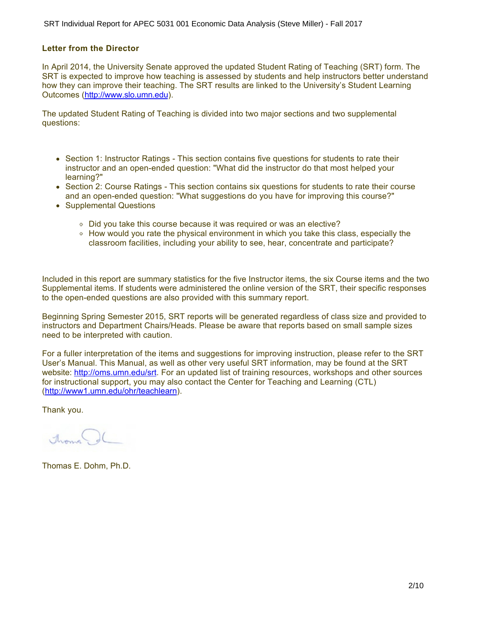#### **Letter from the Director**

In April 2014, the University Senate approved the updated Student Rating of Teaching (SRT) form. The SRT is expected to improve how teaching is assessed by students and help instructors better understand how they can improve their teaching. The SRT results are linked to the University's Student Learning Outcomes (<http://www.slo.umn.edu>).

The updated Student Rating of Teaching is divided into two major sections and two supplemental questions:

- Section 1: Instructor Ratings This section contains five questions for students to rate their instructor and an open-ended question: "What did the instructor do that most helped your learning?"
- Section 2: Course Ratings This section contains six questions for students to rate their course and an open-ended question: "What suggestions do you have for improving this course?"
- Supplemental Questions
	- Did you take this course because it was required or was an elective?
	- How would you rate the physical environment in which you take this class, especially the classroom facilities, including your ability to see, hear, concentrate and participate?

Included in this report are summary statistics for the five Instructor items, the six Course items and the two Supplemental items. If students were administered the online version of the SRT, their specific responses to the open-ended questions are also provided with this summary report.

Beginning Spring Semester 2015, SRT reports will be generated regardless of class size and provided to instructors and Department Chairs/Heads. Please be aware that reports based on small sample sizes need to be interpreted with caution.

For a fuller interpretation of the items and suggestions for improving instruction, please refer to the SRT User's Manual. This Manual, as well as other very useful SRT information, may be found at the SRT website:<http://oms.umn.edu/srt>. For an updated list of training resources, workshops and other sources for instructional support, you may also contact the Center for Teaching and Learning (CTL) (<http://www1.umn.edu/ohr/teachlearn>).

Thank you.

Aroma

Thomas E. Dohm, Ph.D.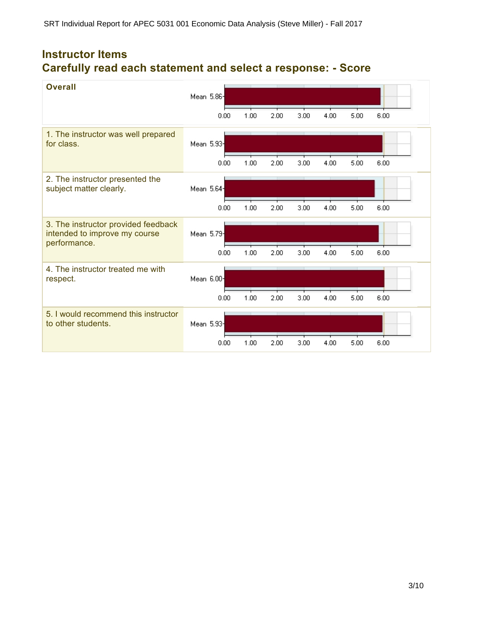# **Instructor Items Carefully read each statement and select a response: - Score**

| <b>Overall</b>                                                                       | Mean 5.86- |      |      |      |      |      |      |      |
|--------------------------------------------------------------------------------------|------------|------|------|------|------|------|------|------|
|                                                                                      |            | 0.00 | 1.00 | 2.00 | 3.00 | 4.00 | 5.00 | 6.00 |
| 1. The instructor was well prepared<br>for class.                                    | Mean 5.93  |      |      |      |      |      |      |      |
|                                                                                      |            | 0.00 | 1.00 | 2.00 | 3.00 | 4.00 | 5.00 | 6.00 |
| 2. The instructor presented the<br>subject matter clearly.                           | Mean 5.64- |      |      |      |      |      |      |      |
|                                                                                      |            | 0.00 | 1.00 | 2.00 | 3.00 | 4.00 | 5.00 | 6.00 |
| 3. The instructor provided feedback<br>intended to improve my course<br>performance. | Mean 5.79  |      |      |      |      |      |      |      |
|                                                                                      |            | 0.00 | 1.00 | 2.00 | 3.00 | 4.00 | 5.00 | 6.00 |
| 4. The instructor treated me with<br>respect.                                        | Mean 6.00- |      |      |      |      |      |      |      |
|                                                                                      |            | 0.00 | 1.00 | 2.00 | 3.00 | 4.00 | 5.00 | 6.00 |
| 5. I would recommend this instructor<br>to other students.                           | Mean 5.93  |      |      |      |      |      |      |      |
|                                                                                      |            | 0.00 | 1.00 | 2.00 | 3.00 | 4.00 | 5.00 | 6.00 |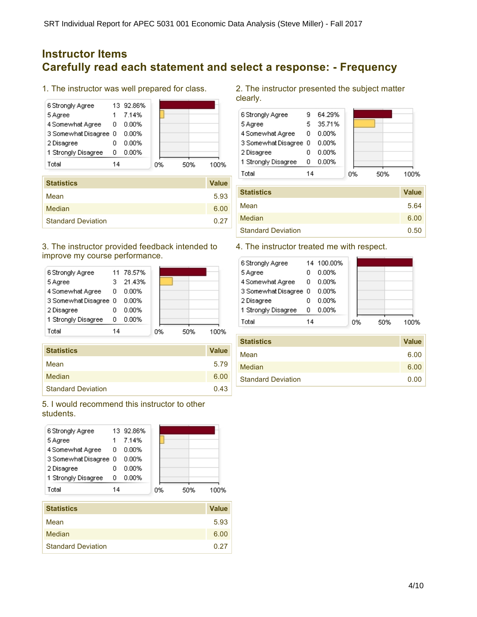## **Instructor Items Carefully read each statement and select a response: - Frequency**

1. The instructor was well prepared for class.



| <b>Statistics</b>         | <b>Value</b> |
|---------------------------|--------------|
| Mean                      | 5.93         |
| Median                    | 6.00         |
| <b>Standard Deviation</b> | 0.27         |

#### 3. The instructor provided feedback intended to improve my course performance.



| <b>Statistics</b>         | <b>Value</b> |
|---------------------------|--------------|
| Mean                      | 5.79         |
| Median                    | 6.00         |
| <b>Standard Deviation</b> | 0.43         |

#### 5. I would recommend this instructor to other students.



2. The instructor presented the subject matter clearly.



| <b>Statistics</b>         | <b>Value</b> |
|---------------------------|--------------|
| Mean                      | 5.64         |
| Median                    | 6.00         |
| <b>Standard Deviation</b> | 0.50         |

### 4. The instructor treated me with respect.

| 6 Strongly Agree      |    | 14 100.00% |    |     |      |
|-----------------------|----|------------|----|-----|------|
| 5 Agree               |    | 0.00%      |    |     |      |
| 4 Somewhat Agree      | 0  | 0.00%      |    |     |      |
| 3 Somewhat Disagree 0 |    | 0.00%      |    |     |      |
| 2 Disagree            |    | 0.00%      |    |     |      |
| 1 Strongly Disagree   | ο  | $0.00\%$   |    |     |      |
| Total                 | 14 |            | 0% | 50% | 100% |
|                       |    |            |    |     |      |

| <b>Value</b> |
|--------------|
| 6.00         |
| 6.00         |
| 0.00         |
|              |

Median 6.00 and 5.000 million of the state of the state of the state of the state of the state of the state of the state of the state of the state of the state of the state of the state of the state of the state of the sta Standard Deviation 6.27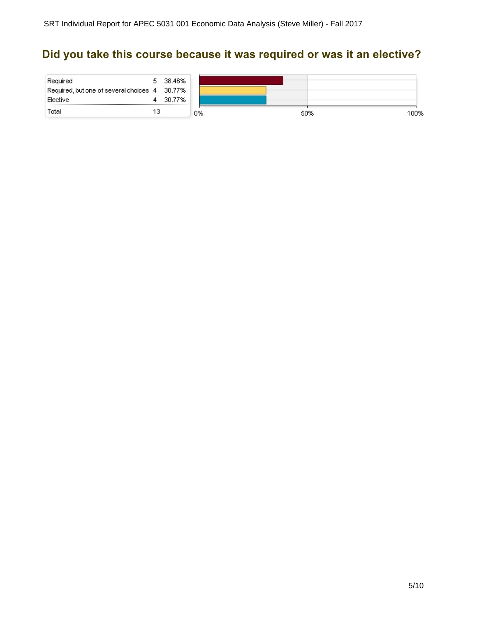# **Did you take this course because it was required or was it an elective?**

| Required<br>Required, but one of several choices 4 30.77% |     | 5 38.46% |    |     |  |
|-----------------------------------------------------------|-----|----------|----|-----|--|
| Elective                                                  |     | - 30.77% |    |     |  |
| Total                                                     | 13. |          | 0% | 50% |  |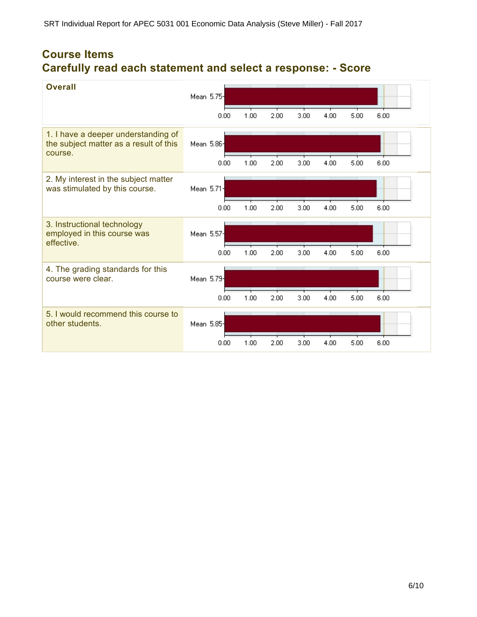## **Course Items Carefully read each statement and select a response: - Score**

| <b>Overall</b>                                                                           | Mean 5.75- |      |      |      |      |      |      |
|------------------------------------------------------------------------------------------|------------|------|------|------|------|------|------|
|                                                                                          | 0.00       | 1.00 | 2.00 | 3.00 | 4.00 | 5.00 | 6.00 |
| 1. I have a deeper understanding of<br>the subject matter as a result of this<br>course. | Mean 5.86  |      |      |      |      |      |      |
|                                                                                          | 0.00       | 1.00 | 2.00 | 3.00 | 4.00 | 5.00 | 6.00 |
| 2. My interest in the subject matter<br>was stimulated by this course.                   | Mean 5.71- |      |      |      |      |      |      |
|                                                                                          | 0.00       | 1.00 | 2.00 | 3.00 | 4.00 | 5.00 | 6.00 |
| 3. Instructional technology<br>employed in this course was<br>effective.                 | Mean 5.57- |      |      |      |      |      |      |
|                                                                                          | 0.00       | 1.00 | 2.00 | 3.00 | 4.00 | 5.00 | 6.00 |
| 4. The grading standards for this<br>course were clear.                                  | Mean 5.79  |      |      |      |      |      |      |
|                                                                                          | 0.00       | 1.00 | 2.00 | 3.00 | 4.00 | 5.00 | 6.00 |
| 5. I would recommend this course to<br>other students.                                   | Mean 5.85  |      |      |      |      |      |      |
|                                                                                          | 0.00       | 1.00 | 2.00 | 3.00 | 4.00 | 5.00 | 6.00 |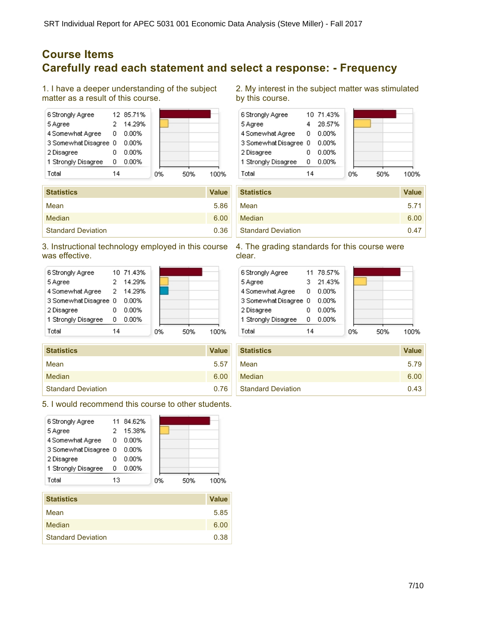## **Course Items Carefully read each statement and select a response: - Frequency**

1. I have a deeper understanding of the subject matter as a result of this course.

| 6 Strongly Agree      |    | 12 85.71% |    |     |      |  |
|-----------------------|----|-----------|----|-----|------|--|
| 5 Agree               |    | 14.29%    |    |     |      |  |
| 4 Somewhat Agree      | 0  | 0.00%     |    |     |      |  |
| 3 Somewhat Disagree 0 |    | 0.00%     |    |     |      |  |
| 2 Disagree            |    | 0.00%     |    |     |      |  |
| 1 Strongly Disagree   | 0  | 0.00%     |    |     |      |  |
| Total                 | 14 |           | 0% | 50% | 100% |  |

| <b>Statistics</b>         | <b>Value</b> |
|---------------------------|--------------|
| Mean                      | 5.86         |
| Median                    | 6.00         |
| <b>Standard Deviation</b> | 0.36         |

3. Instructional technology employed in this course was effective.



| <b>Statistics</b>         | <b>Value</b> |
|---------------------------|--------------|
| Mean                      | 5.57         |
| Median                    | 6.00         |
| <b>Standard Deviation</b> | 0.76         |

5. I would recommend this course to other students.

| 6 Strongly Agree      | 11. | 84.62%   |    |     |      |
|-----------------------|-----|----------|----|-----|------|
| 5 Agree               |     | 15.38%   |    |     |      |
| 4 Somewhat Agree      | 0   | 0.00%    |    |     |      |
| 3 Somewhat Disagree 0 |     | 0.00%    |    |     |      |
| 2 Disagree            |     | 0.00%    |    |     |      |
| 1 Strongly Disagree   | n   | $0.00\%$ |    |     |      |
| Total                 | 13  |          | 0% | 50% | 100% |
|                       |     |          |    |     |      |

| <b>Statistics</b>         | <b>Value</b> |
|---------------------------|--------------|
| Mean                      | 5.85         |
| Median                    | 6.00         |
| <b>Standard Deviation</b> | 0.38         |

2. My interest in the subject matter was stimulated by this course.



| <b>Statistics</b>         | <b>Value</b> |
|---------------------------|--------------|
| Mean                      | 5.71         |
| Median                    | 6.00         |
| <b>Standard Deviation</b> | 0.47         |

#### 4. The grading standards for this course were clear.

| 6 Strongly Agree      |    | 11 78.57% |    |     |      |
|-----------------------|----|-----------|----|-----|------|
| 5 Agree               |    | 21.43%    |    |     |      |
| 4 Somewhat Agree 0    |    | 0.00%     |    |     |      |
| 3 Somewhat Disagree 0 |    | 0.00%     |    |     |      |
| 2 Disagree            | n  | 0.00%     |    |     |      |
| 1 Strongly Disagree   | n  | 0.00%     |    |     |      |
| Total                 | 14 |           | 0% | 50% | 1በበ% |
|                       |    |           |    |     |      |

| <b>Statistics</b>         | <b>Value</b> |
|---------------------------|--------------|
| Mean                      | 5.79         |
| Median                    | 6.00         |
| <b>Standard Deviation</b> | 0.43         |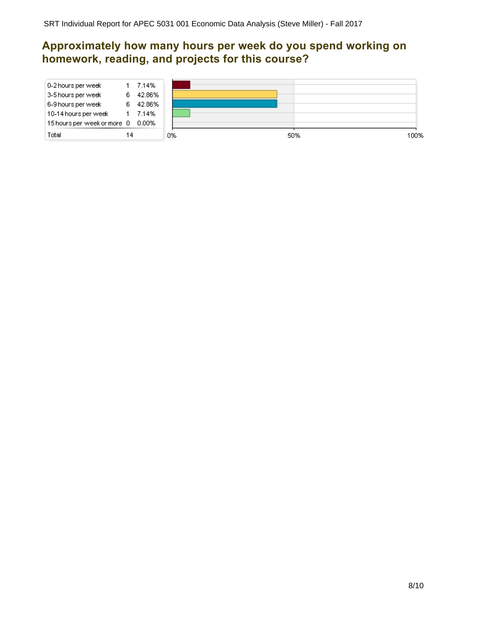## **Approximately how many hours per week do you spend working on homework, reading, and projects for this course?**

| 10-14 hours per week<br>15 hours per week or more 0 0.00%<br>Total | 14 | 7.14%           | 0% | 50%<br>100% |
|--------------------------------------------------------------------|----|-----------------|----|-------------|
| 3-5 hours per week<br>6-9 hours per week                           | 6  | 42.86%          |    |             |
| 0-2 hours per week                                                 | 6  | 7.14%<br>42.86% |    |             |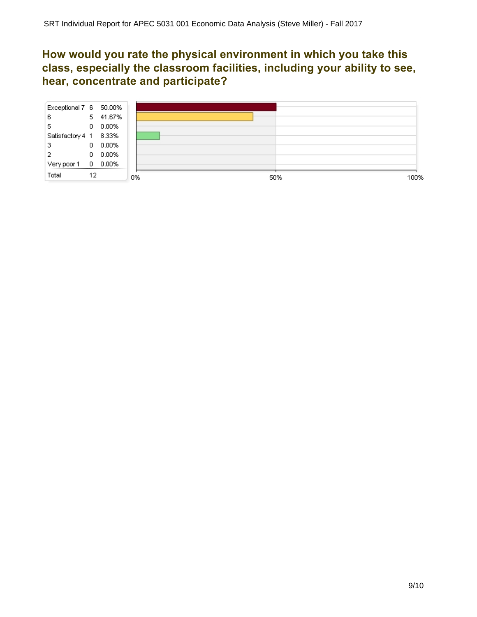## **How would you rate the physical environment in which you take this class, especially the classroom facilities, including your ability to see, hear, concentrate and participate?**